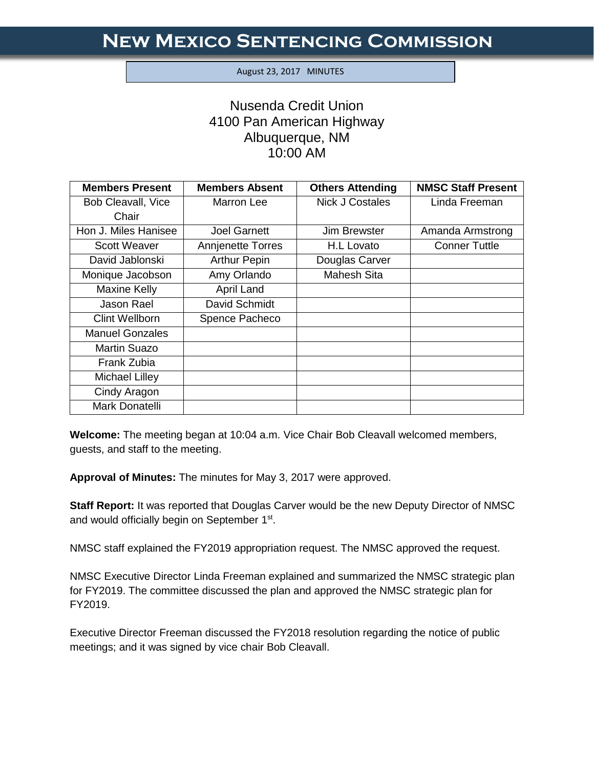## August 23, 2017 MINUTES

I

## Nusenda Credit Union 4100 Pan American Highway Albuquerque, NM 10:00 AM

| <b>Members Present</b> | <b>Members Absent</b> | <b>Others Attending</b> | <b>NMSC Staff Present</b> |
|------------------------|-----------------------|-------------------------|---------------------------|
| Bob Cleavall, Vice     | Marron Lee            | <b>Nick J Costales</b>  | Linda Freeman             |
| Chair                  |                       |                         |                           |
| Hon J. Miles Hanisee   | <b>Joel Garnett</b>   | <b>Jim Brewster</b>     | Amanda Armstrong          |
| <b>Scott Weaver</b>    | Annjenette Torres     | H.L Lovato              | <b>Conner Tuttle</b>      |
| David Jablonski        | <b>Arthur Pepin</b>   | Douglas Carver          |                           |
| Monique Jacobson       | Amy Orlando           | Mahesh Sita             |                           |
| <b>Maxine Kelly</b>    | April Land            |                         |                           |
| <b>Jason Rael</b>      | David Schmidt         |                         |                           |
| <b>Clint Wellborn</b>  | Spence Pacheco        |                         |                           |
| <b>Manuel Gonzales</b> |                       |                         |                           |
| Martin Suazo           |                       |                         |                           |
| Frank Zubia            |                       |                         |                           |
| Michael Lilley         |                       |                         |                           |
| Cindy Aragon           |                       |                         |                           |
| Mark Donatelli         |                       |                         |                           |

**Welcome:** The meeting began at 10:04 a.m. Vice Chair Bob Cleavall welcomed members, guests, and staff to the meeting.

**Approval of Minutes:** The minutes for May 3, 2017 were approved.

**Staff Report:** It was reported that Douglas Carver would be the new Deputy Director of NMSC and would officially begin on September 1<sup>st</sup>.

NMSC staff explained the FY2019 appropriation request. The NMSC approved the request.

NMSC Executive Director Linda Freeman explained and summarized the NMSC strategic plan for FY2019. The committee discussed the plan and approved the NMSC strategic plan for FY2019.

Executive Director Freeman discussed the FY2018 resolution regarding the notice of public meetings; and it was signed by vice chair Bob Cleavall.